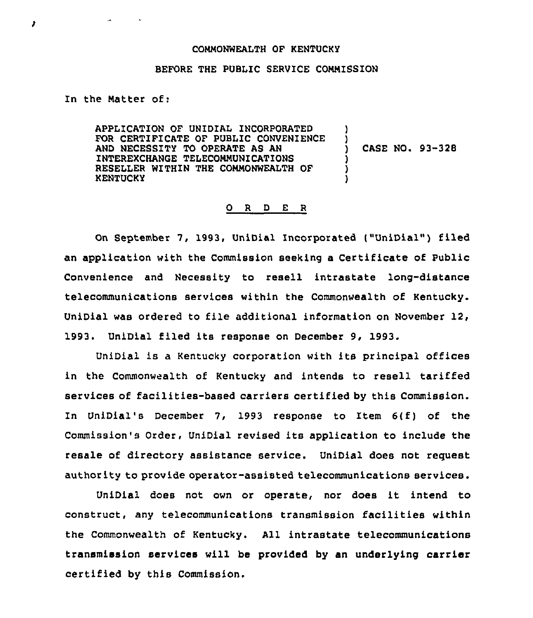## COMMONWEALTH OF KENTUCKY

## BEFORE THE PUBLIC SERVICE COMMISSION

In the Matter of:

ł

APPLICATION OF UNIDIAL INCORPORATED FOR CERTIFICATE OF PUBLIC CONVENIENCE AND NECESSITY TO OPERATE AS AN INTEREXCHANGE TELECOMMUNICATIONS RESELLER WITHIN THE COMMONWEALTH OF KENTUCKY ) ) ) ) )

CASE NO. 93-328

## 0 <sup>R</sup> <sup>D</sup> E <sup>R</sup>

On September 7, 1993, UniDial Incorporated ("UniDial") filed an application with the Commission seeking a Certificate of Public Convenience and Necessity to resell intrastate long-distance telecommunications services within the Commonwealth of Kentucky. UniDial was ordered to file additional information on November 12, 1993. UniDial filed its response on December 9, 1993.

UniDial is <sup>a</sup> Kentucky corporation with its principal offices in the Commonwealth of Kentucky and intends to resell tariffed services of facilities-based carriers certified by this Commission. In UniDial's December 7, 1993 response to Item 6(f) of the Commission's Order, UniDial revised its application to include the resale of directory assistance service. UniDial does not request authority to provide operator-assisted telecommunications services.

UniDial does not own or operate, nor does it intend to construct, any telecommunications transmission facilities within the Commonwealth of Kentucky. All intrastate telecommunications transmission services will be provided by an underlying carrier certified by this Commission.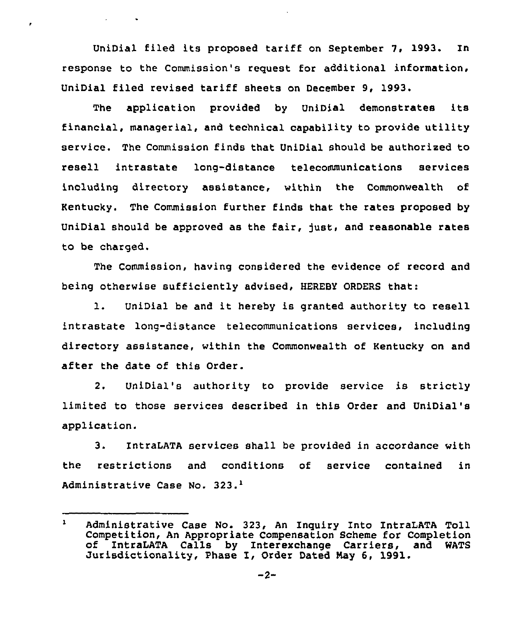UniDial filed its proposed tariff on September 7. 1993. In response to the Commission's request for additional information, UniDial filed revised tariff sheets on December 9, 1993.

 $\epsilon$ 

The application provided by UniDial demonstrates its financial, managerial, and technical capability to provide utility service. The Commission finds that UniDial should be authorized to resell intrastate long-distance telecommunications services including directory assistance, within the Commonwealth of Kentucky. The Commission further finds that the rates proposed by UniDial should be approved as the fair, just, and reasonable rates to be charged.

The Commission, having considered the evidence of record and being otherwise sufficiently advised, HEREBY ORDERS that:

l. UniDial be and it hereby is granted authority to resell intrastate long-distance telecommunications services, including directory assistance, within the Commonwealth of Kentucky on and after the date of this Order.

2. UniDial's authority to provide service is strictly limited to those services described in this Order and UniDial's application.

3. IntraLATA services shall be provided in accordance with the restrictions and conditions of service contained in Administrative Case No. 323.<sup>1</sup>

 $\mathbf{1}$ Administrative Case No. 323, An Inquiry Into IntraLATA Toll Competition, An Appropriate Compensation Scheme for Completion<br>of IntraLATA Calls by Interexchange Carriers, and WATS Jurisdictionality, Phase I, Order Dated May 6, 1991.